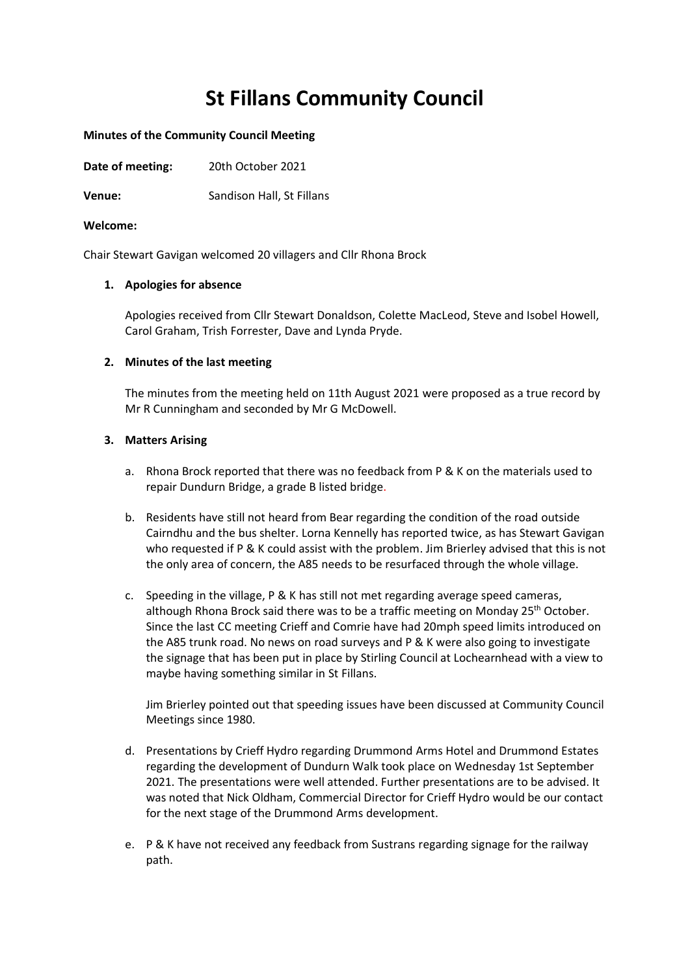# **St Fillans Community Council**

#### **Minutes of the Community Council Meeting**

**Date of meeting:** 20th October 2021

**Venue:** Sandison Hall, St Fillans

#### **Welcome:**

Chair Stewart Gavigan welcomed 20 villagers and Cllr Rhona Brock

#### **1. Apologies for absence**

Apologies received from Cllr Stewart Donaldson, Colette MacLeod, Steve and Isobel Howell, Carol Graham, Trish Forrester, Dave and Lynda Pryde.

#### **2. Minutes of the last meeting**

The minutes from the meeting held on 11th August 2021 were proposed as a true record by Mr R Cunningham and seconded by Mr G McDowell.

#### **3. Matters Arising**

- a. Rhona Brock reported that there was no feedback from P & K on the materials used to repair Dundurn Bridge, a grade B listed bridge.
- b. Residents have still not heard from Bear regarding the condition of the road outside Cairndhu and the bus shelter. Lorna Kennelly has reported twice, as has Stewart Gavigan who requested if P & K could assist with the problem. Jim Brierley advised that this is not the only area of concern, the A85 needs to be resurfaced through the whole village.
- c. Speeding in the village, P & K has still not met regarding average speed cameras, although Rhona Brock said there was to be a traffic meeting on Monday  $25<sup>th</sup>$  October. Since the last CC meeting Crieff and Comrie have had 20mph speed limits introduced on the A85 trunk road. No news on road surveys and P & K were also going to investigate the signage that has been put in place by Stirling Council at Lochearnhead with a view to maybe having something similar in St Fillans.

Jim Brierley pointed out that speeding issues have been discussed at Community Council Meetings since 1980.

- d. Presentations by Crieff Hydro regarding Drummond Arms Hotel and Drummond Estates regarding the development of Dundurn Walk took place on Wednesday 1st September 2021. The presentations were well attended. Further presentations are to be advised. It was noted that Nick Oldham, Commercial Director for Crieff Hydro would be our contact for the next stage of the Drummond Arms development.
- e. P & K have not received any feedback from Sustrans regarding signage for the railway path.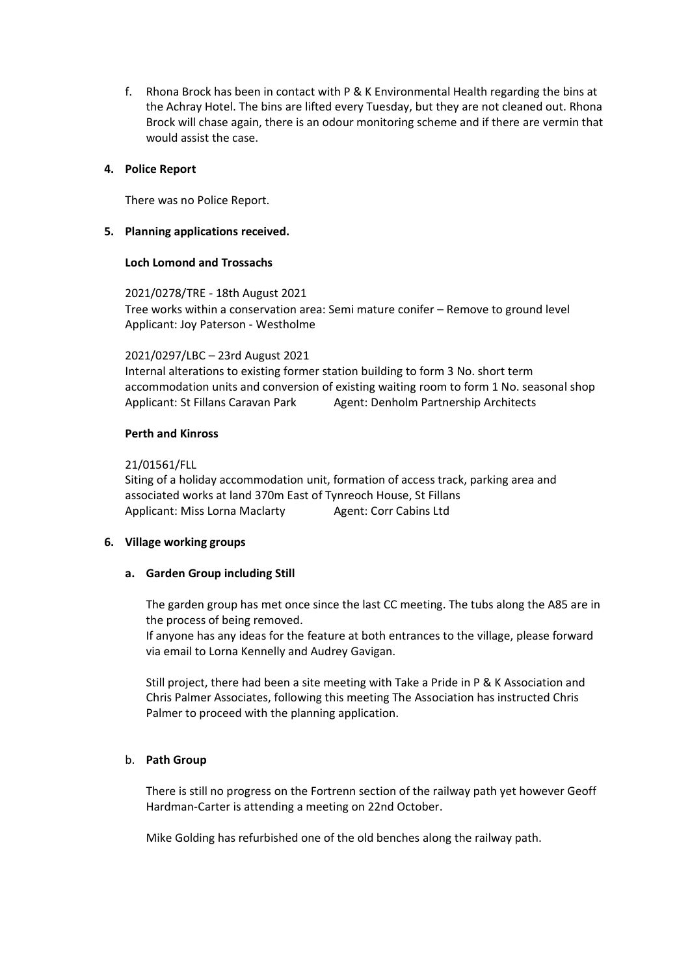f. Rhona Brock has been in contact with P & K Environmental Health regarding the bins at the Achray Hotel. The bins are lifted every Tuesday, but they are not cleaned out. Rhona Brock will chase again, there is an odour monitoring scheme and if there are vermin that would assist the case.

## **4. Police Report**

There was no Police Report.

## **5. Planning applications received.**

## **Loch Lomond and Trossachs**

2021/0278/TRE - 18th August 2021 Tree works within a conservation area: Semi mature conifer – Remove to ground level Applicant: Joy Paterson - Westholme

## 2021/0297/LBC – 23rd August 2021

Internal alterations to existing former station building to form 3 No. short term accommodation units and conversion of existing waiting room to form 1 No. seasonal shop Applicant: St Fillans Caravan Park Agent: Denholm Partnership Architects

## **Perth and Kinross**

## 21/01561/FLL

Siting of a holiday accommodation unit, formation of access track, parking area and associated works at land 370m East of Tynreoch House, St Fillans Applicant: Miss Lorna Maclarty Agent: Corr Cabins Ltd

# **6. Village working groups**

## **a. Garden Group including Still**

The garden group has met once since the last CC meeting. The tubs along the A85 are in the process of being removed.

If anyone has any ideas for the feature at both entrances to the village, please forward via email to Lorna Kennelly and Audrey Gavigan.

Still project, there had been a site meeting with Take a Pride in P & K Association and Chris Palmer Associates, following this meeting The Association has instructed Chris Palmer to proceed with the planning application.

# b. **Path Group**

There is still no progress on the Fortrenn section of the railway path yet however Geoff Hardman-Carter is attending a meeting on 22nd October.

Mike Golding has refurbished one of the old benches along the railway path.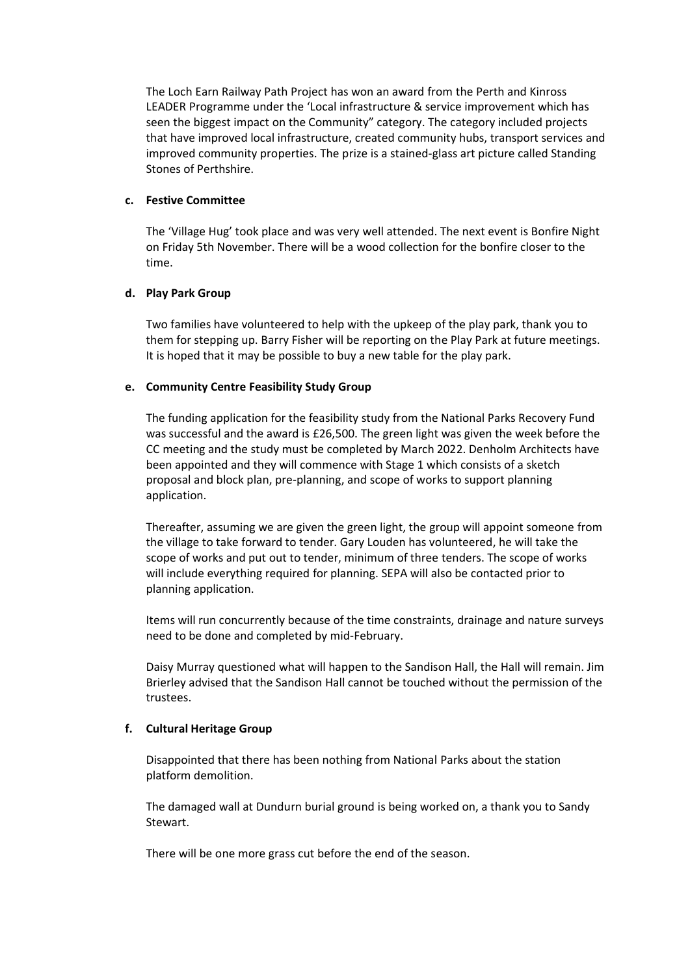The Loch Earn Railway Path Project has won an award from the Perth and Kinross LEADER Programme under the 'Local infrastructure & service improvement which has seen the biggest impact on the Community" category. The category included projects that have improved local infrastructure, created community hubs, transport services and improved community properties. The prize is a stained-glass art picture called Standing Stones of Perthshire.

# **c. Festive Committee**

The 'Village Hug' took place and was very well attended. The next event is Bonfire Night on Friday 5th November. There will be a wood collection for the bonfire closer to the time.

## **d. Play Park Group**

Two families have volunteered to help with the upkeep of the play park, thank you to them for stepping up. Barry Fisher will be reporting on the Play Park at future meetings. It is hoped that it may be possible to buy a new table for the play park.

## **e. Community Centre Feasibility Study Group**

The funding application for the feasibility study from the National Parks Recovery Fund was successful and the award is £26,500. The green light was given the week before the CC meeting and the study must be completed by March 2022. Denholm Architects have been appointed and they will commence with Stage 1 which consists of a sketch proposal and block plan, pre-planning, and scope of works to support planning application.

Thereafter, assuming we are given the green light, the group will appoint someone from the village to take forward to tender. Gary Louden has volunteered, he will take the scope of works and put out to tender, minimum of three tenders. The scope of works will include everything required for planning. SEPA will also be contacted prior to planning application.

Items will run concurrently because of the time constraints, drainage and nature surveys need to be done and completed by mid-February.

Daisy Murray questioned what will happen to the Sandison Hall, the Hall will remain. Jim Brierley advised that the Sandison Hall cannot be touched without the permission of the trustees.

# **f. Cultural Heritage Group**

Disappointed that there has been nothing from National Parks about the station platform demolition.

The damaged wall at Dundurn burial ground is being worked on, a thank you to Sandy Stewart.

There will be one more grass cut before the end of the season.